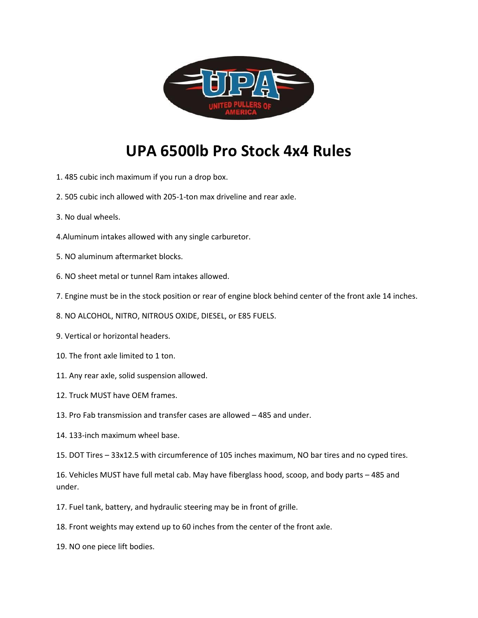

## **UPA 6500lb Pro Stock 4x4 Rules**

- 1. 485 cubic inch maximum if you run a drop box.
- 2. 505 cubic inch allowed with 205-1-ton max driveline and rear axle.
- 3. No dual wheels.
- 4.Aluminum intakes allowed with any single carburetor.
- 5. NO aluminum aftermarket blocks.
- 6. NO sheet metal or tunnel Ram intakes allowed.
- 7. Engine must be in the stock position or rear of engine block behind center of the front axle 14 inches.
- 8. NO ALCOHOL, NITRO, NITROUS OXIDE, DIESEL, or E85 FUELS.
- 9. Vertical or horizontal headers.
- 10. The front axle limited to 1 ton.
- 11. Any rear axle, solid suspension allowed.
- 12. Truck MUST have OEM frames.
- 13. Pro Fab transmission and transfer cases are allowed 485 and under.
- 14. 133-inch maximum wheel base.
- 15. DOT Tires 33x12.5 with circumference of 105 inches maximum, NO bar tires and no cyped tires.

16. Vehicles MUST have full metal cab. May have fiberglass hood, scoop, and body parts – 485 and under.

- 17. Fuel tank, battery, and hydraulic steering may be in front of grille.
- 18. Front weights may extend up to 60 inches from the center of the front axle.
- 19. NO one piece lift bodies.